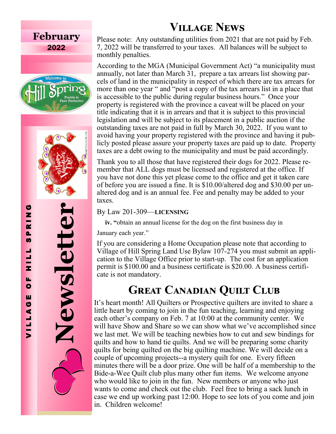## **February** 2022





**Newsletter** 

Newsletter

Please note: Any outstanding utilities from 2021 that are not paid by Feb. 7, 2022 will be transferred to your taxes. All balances will be subject to monthly penalties.

According to the MGA (Municipal Government Act) "a municipality must annually, not later than March 31, prepare a tax arrears list showing parcels of land in the municipality in respect of which there are tax arrears for more than one year " and "post a copy of the tax arrears list in a place that is accessible to the public during regular business hours." Once your property is registered with the province a caveat will be placed on your title indicating that it is in arrears and that it is subject to this provincial legislation and will be subject to its placement in a public auction if the outstanding taxes are not paid in full by March 30, 2022. If you want to avoid having your property registered with the province and having it publicly posted please assure your property taxes are paid up to date. Property taxes are a debt owing to the municipality and must be paid accordingly. **VILLAGE NEWS**<br>Please note: Any outstanding utilities from 2021 t<br>7, 2022 will be transferred to your taxes. All balar<br>monthly penalties.<br>According to the MGA (Municipal Government A<br>annually, not later than March 31, prep

Thank you to all those that have registered their dogs for 2022. Please remember that ALL dogs must be licensed and registered at the office. If you have not done this yet please come to the office and get it taken care of before you are issued a fine. It is \$10.00/altered dog and \$30.00 per unaltered dog and is an annual fee. Fee and penalty may be added to your taxes.

### By Law 201 -309 —**LICENSING**

**iv.** "obtain an annual license for the dog on the first business day in

January each year."

If you are considering a Home Occupation please note that according to Village of Hill Spring Land Use Bylaw 107 -274 you must submit an application to the Village Office prior to start-up. The cost for an application permit is \$100.00 and a business certificate is \$20.00. A business certifi-

# **GREAT CANADIAN QUILT CLUB**

It 's heart month! All Quilters or Prospective quilters are invited to share a little heart by coming to join in the fun teaching, learning and enjoying each other 's company on Feb. 7 at 10:00 at the community center. We will have Show and Share so we can show what we've accomplished since we last met. We will be teaching newbies how to cut and sew bindings for quilts and how to hand tie quilts. And we will be preparing some charity quilts for being quilted on the big quilting machine. We will decide on a couple of upcoming projects--a mystery quilt for one. Every fifteen minutes there will be a door prize. One will be half of a membership to the Bide - a -Wee Quilt club plus many other fun items. We welcome anyone who would like to join in the fun. New members or anyone who just wants to come and check out the club. Feel free to bring a sack lunch in case we end up working past 12:00. Hope to see lots of you come and join in. Children welcome!